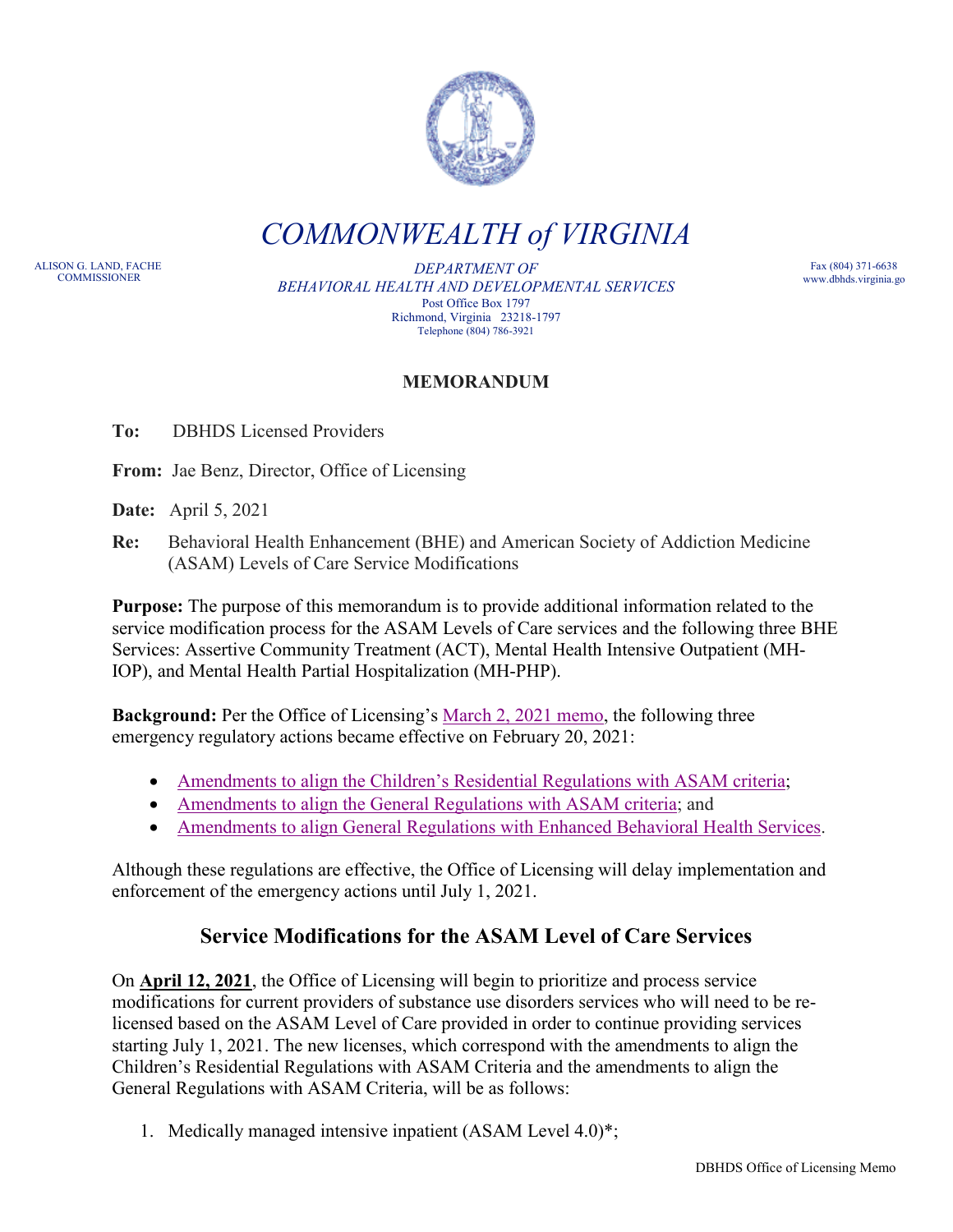

*COMMONWEALTH of VIRGINIA*

ALISON G. LAND, FACHE

DEPARTMENT OF *BEHAVIORAL HEALTH AND DEVELOPMENTAL SERVICES* Post Office Box 1797 Richmond, Virginia 23218-1797 Telephone (804) 786-3921

Fax (804) 371-6638 www.dbhds.virginia.go

## **MEMORANDUM**

**To:** DBHDS Licensed Providers

**From:** Jae Benz, Director, Office of Licensing

**Date:** April 5, 2021

**Re:** Behavioral Health Enhancement (BHE) and American Society of Addiction Medicine (ASAM) Levels of Care Service Modifications

**Purpose:** The purpose of this memorandum is to provide additional information related to the service modification process for the ASAM Levels of Care services and the following three BHE Services: Assertive Community Treatment (ACT), Mental Health Intensive Outpatient (MH-IOP), and Mental Health Partial Hospitalization (MH-PHP).

**Background:** Per the Office of Licensing's [March 2, 2021 memo,](https://dbhds.virginia.gov/assets/doc/QMD/OL/bhe-emergency-regulation-memo.pdf) the following three emergency regulatory actions became effective on February 20, 2021:

- [Amendments to align the Children's Residential Regulations with ASAM criteria;](https://townhall.virginia.gov/L/ViewXML.cfm?textid=14889)
- [Amendments to align the General Regulations with ASAM criteria;](https://townhall.virginia.gov/L/ViewStage.cfm?stageid=9015) and
- [Amendments to align General Regulations with Enhanced Behavioral Health Services.](https://townhall.virginia.gov/L/ViewStage.cfm?stageid=9017)

Although these regulations are effective, the Office of Licensing will delay implementation and enforcement of the emergency actions until July 1, 2021.

## **Service Modifications for the ASAM Level of Care Services**

On **April 12, 2021**, the Office of Licensing will begin to prioritize and process service modifications for current providers of substance use disorders services who will need to be relicensed based on the ASAM Level of Care provided in order to continue providing services starting July 1, 2021. The new licenses, which correspond with the amendments to align the Children's Residential Regulations with ASAM Criteria and the amendments to align the General Regulations with ASAM Criteria, will be as follows:

1. Medically managed intensive inpatient (ASAM Level 4.0)\*;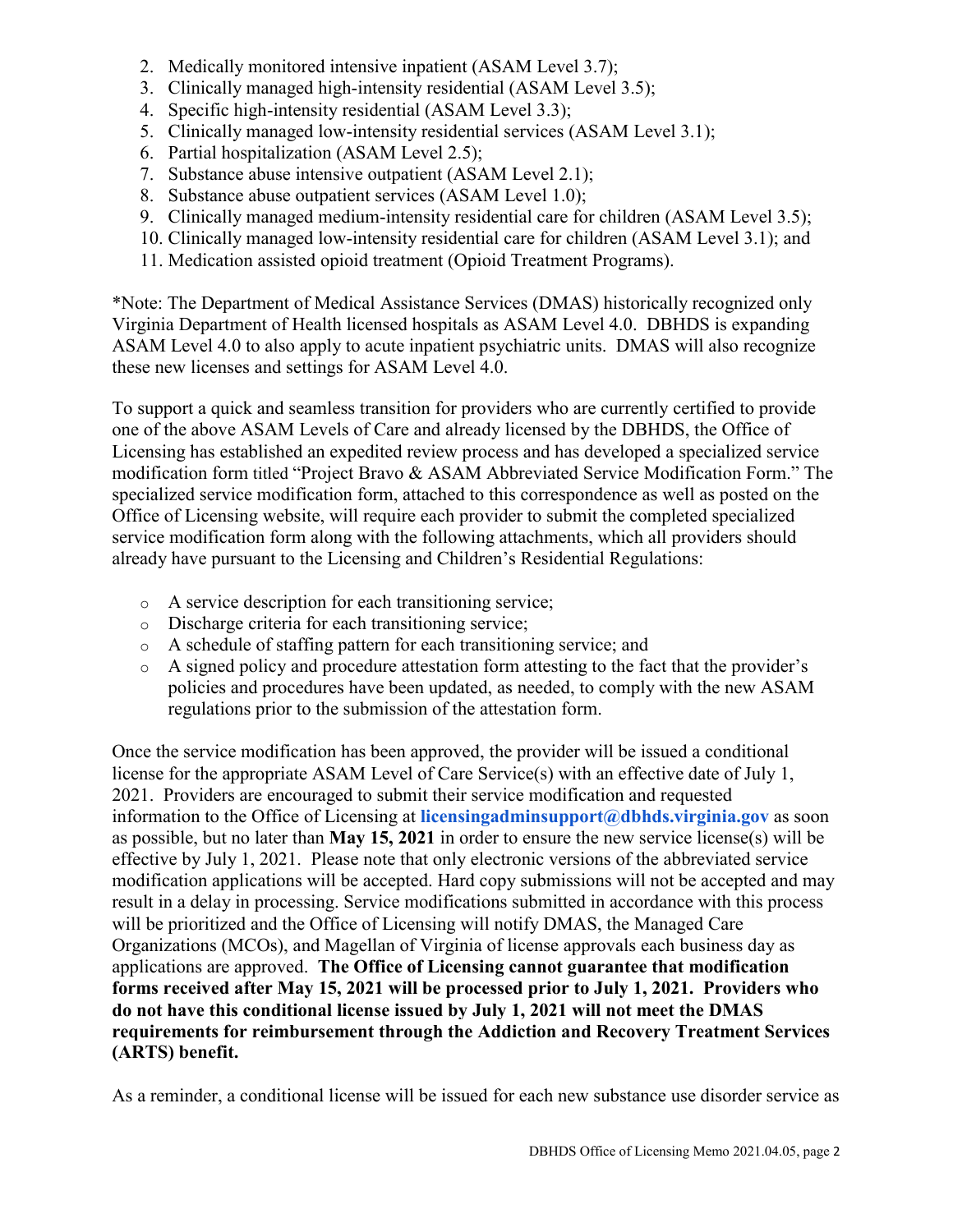- 2. Medically monitored intensive inpatient (ASAM Level 3.7);
- 3. Clinically managed high-intensity residential (ASAM Level 3.5);
- 4. Specific high-intensity residential (ASAM Level 3.3);
- 5. Clinically managed low-intensity residential services (ASAM Level 3.1);
- 6. Partial hospitalization (ASAM Level 2.5);
- 7. Substance abuse intensive outpatient (ASAM Level 2.1);
- 8. Substance abuse outpatient services (ASAM Level 1.0);
- 9. Clinically managed medium-intensity residential care for children (ASAM Level 3.5);
- 10. Clinically managed low-intensity residential care for children (ASAM Level 3.1); and
- 11. Medication assisted opioid treatment (Opioid Treatment Programs).

\*Note: The Department of Medical Assistance Services (DMAS) historically recognized only Virginia Department of Health licensed hospitals as ASAM Level 4.0. DBHDS is expanding ASAM Level 4.0 to also apply to acute inpatient psychiatric units. DMAS will also recognize these new licenses and settings for ASAM Level 4.0.

To support a quick and seamless transition for providers who are currently certified to provide one of the above ASAM Levels of Care and already licensed by the DBHDS, the Office of Licensing has established an expedited review process and has developed a specialized service modification form titled "Project Bravo & ASAM Abbreviated Service Modification Form." The specialized service modification form, attached to this correspondence as well as posted on the Office of Licensing website, will require each provider to submit the completed specialized service modification form along with the following attachments, which all providers should already have pursuant to the Licensing and Children's Residential Regulations:

- o A service description for each transitioning service;
- o Discharge criteria for each transitioning service;
- o A schedule of staffing pattern for each transitioning service; and
- o A signed policy and procedure attestation form attesting to the fact that the provider's policies and procedures have been updated, as needed, to comply with the new ASAM regulations prior to the submission of the attestation form.

Once the service modification has been approved, the provider will be issued a conditional license for the appropriate ASAM Level of Care Service(s) with an effective date of July 1, 2021. Providers are encouraged to submit their service modification and requested information to the Office of Licensing at **licensingadminsupport@dbhds.virginia.gov** as soon as possible, but no later than **May 15, 2021** in order to ensure the new service license(s) will be effective by July 1, 2021. Please note that only electronic versions of the abbreviated service modification applications will be accepted. Hard copy submissions will not be accepted and may result in a delay in processing. Service modifications submitted in accordance with this process will be prioritized and the Office of Licensing will notify DMAS, the Managed Care Organizations (MCOs), and Magellan of Virginia of license approvals each business day as applications are approved. **The Office of Licensing cannot guarantee that modification forms received after May 15, 2021 will be processed prior to July 1, 2021. Providers who do not have this conditional license issued by July 1, 2021 will not meet the DMAS requirements for reimbursement through the Addiction and Recovery Treatment Services (ARTS) benefit.**

As a reminder, a conditional license will be issued for each new substance use disorder service as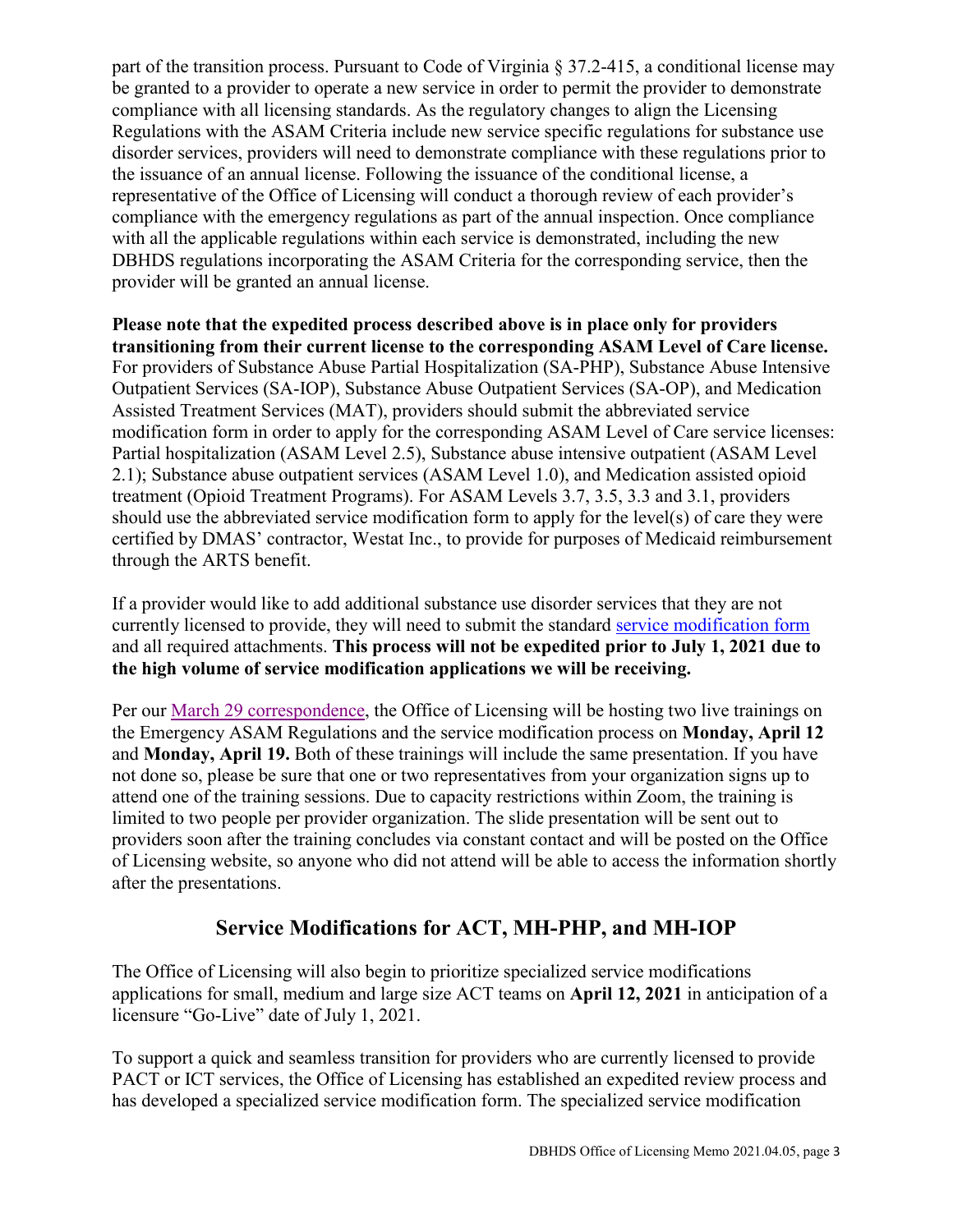part of the transition process. Pursuant to Code of Virginia § 37.2-415, a conditional license may be granted to a provider to operate a new service in order to permit the provider to demonstrate compliance with all licensing standards. As the regulatory changes to align the Licensing Regulations with the ASAM Criteria include new service specific regulations for substance use disorder services, providers will need to demonstrate compliance with these regulations prior to the issuance of an annual license. Following the issuance of the conditional license, a representative of the Office of Licensing will conduct a thorough review of each provider's compliance with the emergency regulations as part of the annual inspection. Once compliance with all the applicable regulations within each service is demonstrated, including the new DBHDS regulations incorporating the ASAM Criteria for the corresponding service, then the provider will be granted an annual license.

**Please note that the expedited process described above is in place only for providers transitioning from their current license to the corresponding ASAM Level of Care license.** For providers of Substance Abuse Partial Hospitalization (SA-PHP), Substance Abuse Intensive Outpatient Services (SA-IOP), Substance Abuse Outpatient Services (SA-OP), and Medication Assisted Treatment Services (MAT), providers should submit the abbreviated service modification form in order to apply for the corresponding ASAM Level of Care service licenses: Partial hospitalization (ASAM Level 2.5), Substance abuse intensive outpatient (ASAM Level 2.1); Substance abuse outpatient services (ASAM Level 1.0), and Medication assisted opioid treatment (Opioid Treatment Programs). For ASAM Levels 3.7, 3.5, 3.3 and 3.1, providers should use the abbreviated service modification form to apply for the level(s) of care they were certified by DMAS' contractor, Westat Inc., to provide for purposes of Medicaid reimbursement through the ARTS benefit.

If a provider would like to add additional substance use disorder services that they are not currently licensed to provide, they will need to submit the standard [service modification form](https://dbhds.virginia.gov/assets/doc/QMD/OL/service_mod_5_8_2019.pdf) and all required attachments. **This process will not be expedited prior to July 1, 2021 due to the high volume of service modification applications we will be receiving.**

Per our [March 29 correspondence,](https://files.constantcontact.com/99370647701/2dfe186a-2714-4507-9e56-e197fa984157.pdf) the Office of Licensing will be hosting two live trainings on the Emergency ASAM Regulations and the service modification process on **Monday, April 12** and **Monday, April 19.** Both of these trainings will include the same presentation. If you have not done so, please be sure that one or two representatives from your organization signs up to attend one of the training sessions. Due to capacity restrictions within Zoom, the training is limited to two people per provider organization. The slide presentation will be sent out to providers soon after the training concludes via constant contact and will be posted on the Office of Licensing website, so anyone who did not attend will be able to access the information shortly after the presentations.

## **[Service](https://townhall.virginia.gov/L/ViewStage.cfm?stageid=9017) Modifications for ACT, MH-PHP, and MH-IOP**

The Office of Licensing will also begin to prioritize specialized service modifications applications for small, medium and large size ACT teams on **April 12, 2021** in anticipation of a licensure "Go-Live" date of July 1, 2021.

To support a quick and seamless transition for providers who are currently licensed to provide PACT or ICT services, the Office of Licensing has established an expedited review process and has developed a specialized service modification form. The specialized service modification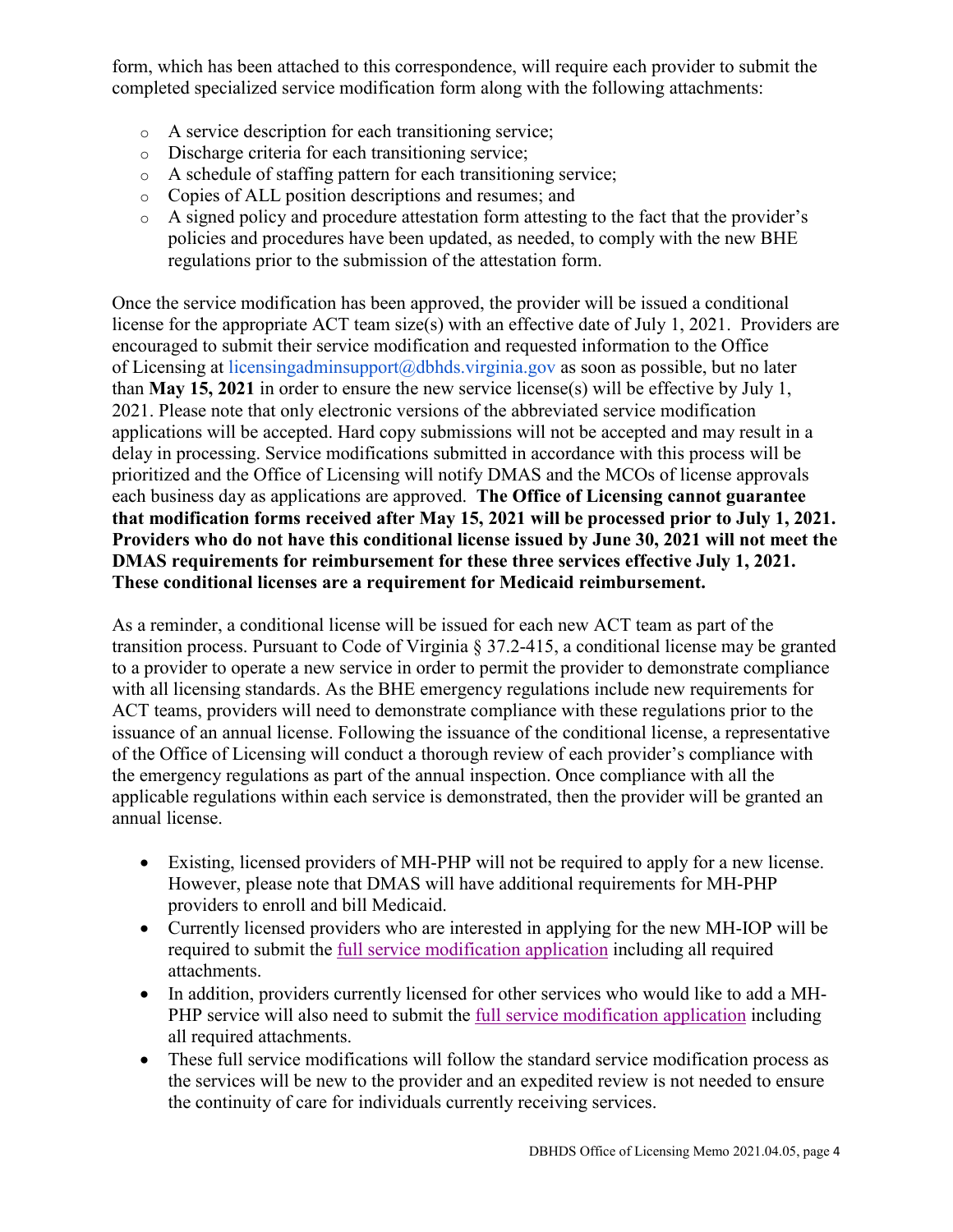form, which has been attached to this correspondence, will require each provider to submit the completed specialized service modification form along with the following attachments:

- o A service description for each transitioning service;
- o Discharge criteria for each transitioning service;
- o A schedule of staffing pattern for each transitioning service;
- o Copies of ALL position descriptions and resumes; and
- o A signed policy and procedure attestation form attesting to the fact that the provider's policies and procedures have been updated, as needed, to comply with the new BHE regulations prior to the submission of the attestation form.

Once the service modification has been approved, the provider will be issued a conditional license for the appropriate ACT team size(s) with an effective date of July 1, 2021. Providers are encouraged to submit their service modification and requested information to the Office of Licensing at licensingadminsupport@dbhds.virginia.gov as soon as possible, but no later than **May 15, 2021** in order to ensure the new service license(s) will be effective by July 1, 2021. Please note that only electronic versions of the abbreviated service modification applications will be accepted. Hard copy submissions will not be accepted and may result in a delay in processing. Service modifications submitted in accordance with this process will be prioritized and the Office of Licensing will notify DMAS and the MCOs of license approvals each business day as applications are approved. **The Office of Licensing cannot guarantee that modification forms received after May 15, 2021 will be processed prior to July 1, 2021. Providers who do not have this conditional license issued by June 30, 2021 will not meet the DMAS requirements for reimbursement for these three services effective July 1, 2021. These conditional licenses are a requirement for Medicaid reimbursement.** 

As a reminder, a conditional license will be issued for each new ACT team as part of the transition process. Pursuant to Code of Virginia § 37.2-415, a conditional license may be granted to a provider to operate a new service in order to permit the provider to demonstrate compliance with all licensing standards. As the BHE emergency regulations include new requirements for ACT teams, providers will need to demonstrate compliance with these regulations prior to the issuance of an annual license. Following the issuance of the conditional license, a representative of the Office of Licensing will conduct a thorough review of each provider's compliance with the emergency regulations as part of the annual inspection. Once compliance with all the applicable regulations within each service is demonstrated, then the provider will be granted an annual license.

- Existing, licensed providers of MH-PHP will not be required to apply for a new license. However, please note that DMAS will have additional requirements for MH-PHP providers to enroll and bill Medicaid.
- Currently licensed providers who are interested in applying for the new MH-IOP will be required to submit the [full service modification application](https://dbhds.virginia.gov/assets/doc/QMD/OL/service_mod_5_8_2019.pdf) including all required attachments.
- In addition, providers currently licensed for other services who would like to add a MH-PHP service will also need to submit the [full service modification application](https://dbhds.virginia.gov/assets/doc/QMD/OL/service_mod_5_8_2019.pdf) including all required attachments.
- These full service modifications will follow the standard service modification process as the services will be new to the provider and an expedited review is not needed to ensure the continuity of care for individuals currently receiving services.